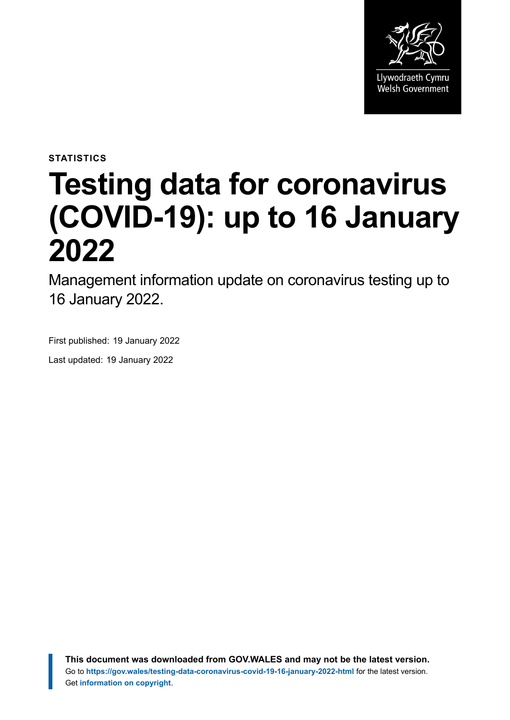

**STATISTICS**

# **Testing data for coronavirus (COVID-19): up to 16 January 2022**

Management information update on coronavirus testing up to 16 January 2022.

First published: 19 January 2022

Last updated: 19 January 2022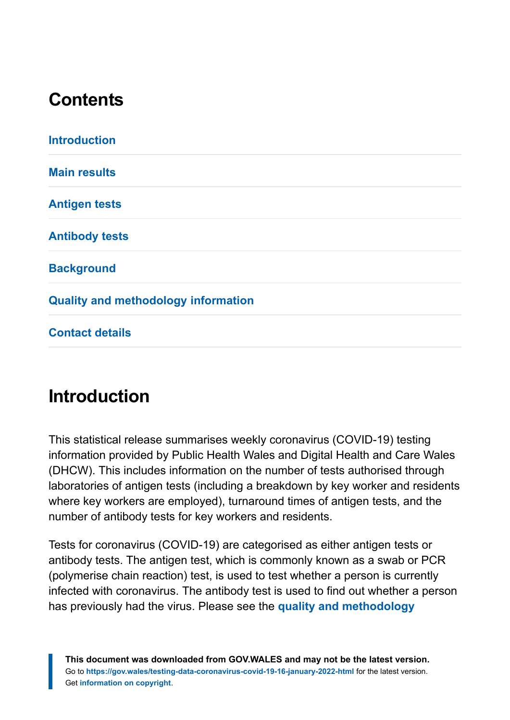# **Contents**

| <b>Introduction</b>                        |  |
|--------------------------------------------|--|
| <b>Main results</b>                        |  |
| <b>Antigen tests</b>                       |  |
| <b>Antibody tests</b>                      |  |
| <b>Background</b>                          |  |
| <b>Quality and methodology information</b> |  |
| <b>Contact details</b>                     |  |

# <span id="page-1-0"></span>**Introduction**

This statistical release summarises weekly coronavirus (COVID-19) testing information provided by Public Health Wales and Digital Health and Care Wales (DHCW). This includes information on the number of tests authorised through laboratories of antigen tests (including a breakdown by key worker and residents where key workers are employed), turnaround times of antigen tests, and the number of antibody tests for key workers and residents.

Tests for coronavirus (COVID-19) are categorised as either antigen tests or antibody tests. The antigen test, which is commonly known as a swab or PCR (polymerise chain reaction) test, is used to test whether a person is currently infected with coronavirus. The antibody test is used to find out whether a person has previously had the virus. Please see the **[quality and methodology](#page-15-0)**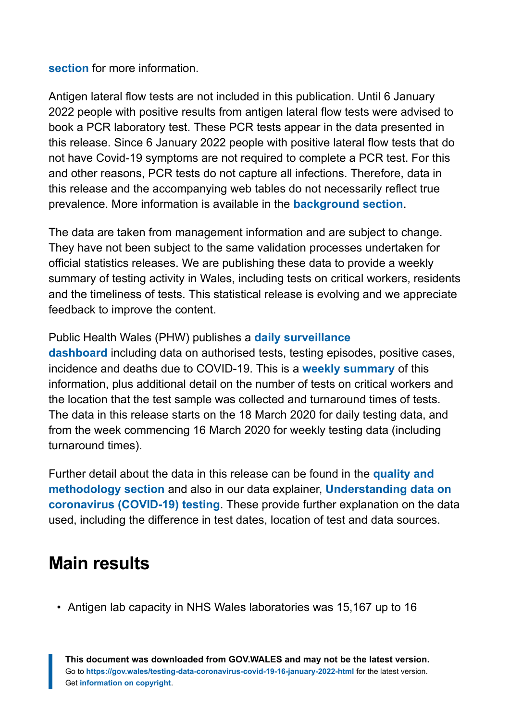#### **[section](#page-15-0)** for more information.

Antigen lateral flow tests are not included in this publication. Until 6 January 2022 people with positive results from antigen lateral flow tests were advised to book a PCR laboratory test. These PCR tests appear in the data presented in this release. Since 6 January 2022 people with positive lateral flow tests that do not have Covid-19 symptoms are not required to complete a PCR test. For this and other reasons, PCR tests do not capture all infections. Therefore, data in this release and the accompanying web tables do not necessarily reflect true prevalence. More information is available in the **[background section](#page-11-0)**.

The data are taken from management information and are subject to change. They have not been subject to the same validation processes undertaken for official statistics releases. We are publishing these data to provide a weekly summary of testing activity in Wales, including tests on critical workers, residents and the timeliness of tests. This statistical release is evolving and we appreciate feedback to improve the content.

#### Public Health Wales (PHW) publishes a **[daily surveillance](https://public.tableau.com/profile/public.health.wales.health.protection#!/vizhome/RapidCOVID-19virology-Public/Headlinesummary)**

**[dashboard](https://public.tableau.com/profile/public.health.wales.health.protection#!/vizhome/RapidCOVID-19virology-Public/Headlinesummary)** including data on authorised tests, testing episodes, positive cases, incidence and deaths due to COVID-19. This is a **[weekly summary](https://gov.wales/testing-data-coronavirus-covid-19)** of this information, plus additional detail on the number of tests on critical workers and the location that the test sample was collected and turnaround times of tests. The data in this release starts on the 18 March 2020 for daily testing data, and from the week commencing 16 March 2020 for weekly testing data (including turnaround times).

Further detail about the data in this release can be found in the **[quality and](#page-15-0) [methodology section](#page-15-0)** and also in our data explainer, **[Understanding data on](https://gov.wales/understanding-data-coronavirus-covid-19-testing) [coronavirus \(COVID-19\) testing](https://gov.wales/understanding-data-coronavirus-covid-19-testing)**. These provide further explanation on the data used, including the difference in test dates, location of test and data sources.

## <span id="page-2-0"></span>**Main results**

• Antigen lab capacity in NHS Wales laboratories was 15,167 up to 16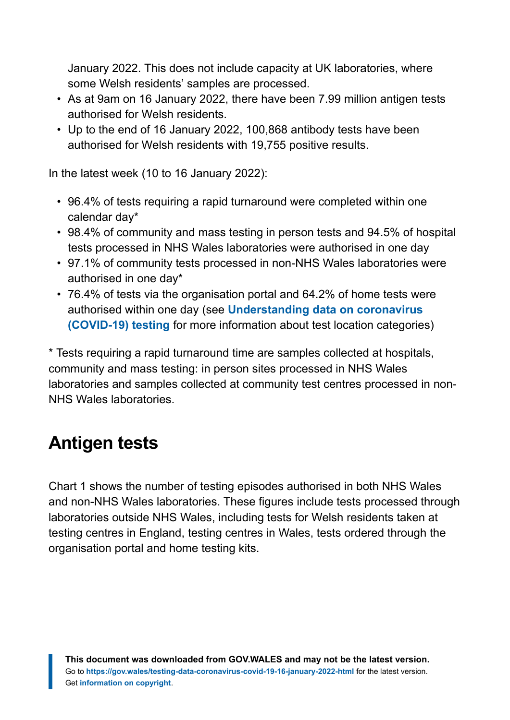January 2022. This does not include capacity at UK laboratories, where some Welsh residents' samples are processed.

- As at 9am on 16 January 2022, there have been 7.99 million antigen tests authorised for Welsh residents.
- Up to the end of 16 January 2022, 100,868 antibody tests have been authorised for Welsh residents with 19,755 positive results.

In the latest week (10 to 16 January 2022):

- 96.4% of tests requiring a rapid turnaround were completed within one calendar day\*
- 98.4% of community and mass testing in person tests and 94.5% of hospital tests processed in NHS Wales laboratories were authorised in one day
- 97.1% of community tests processed in non-NHS Wales laboratories were authorised in one day\*
- 76.4% of tests via the organisation portal and 64.2% of home tests were authorised within one day (see **[Understanding data on coronavirus](https://gov.wales/understanding-data-coronavirus-covid-19-testing) [\(COVID-19\) testing](https://gov.wales/understanding-data-coronavirus-covid-19-testing)** for more information about test location categories)

\* Tests requiring a rapid turnaround time are samples collected at hospitals, community and mass testing: in person sites processed in NHS Wales laboratories and samples collected at community test centres processed in non-NHS Wales laboratories.

# <span id="page-3-0"></span>**Antigen tests**

Chart 1 shows the number of testing episodes authorised in both NHS Wales and non-NHS Wales laboratories. These figures include tests processed through laboratories outside NHS Wales, including tests for Welsh residents taken at testing centres in England, testing centres in Wales, tests ordered through the organisation portal and home testing kits.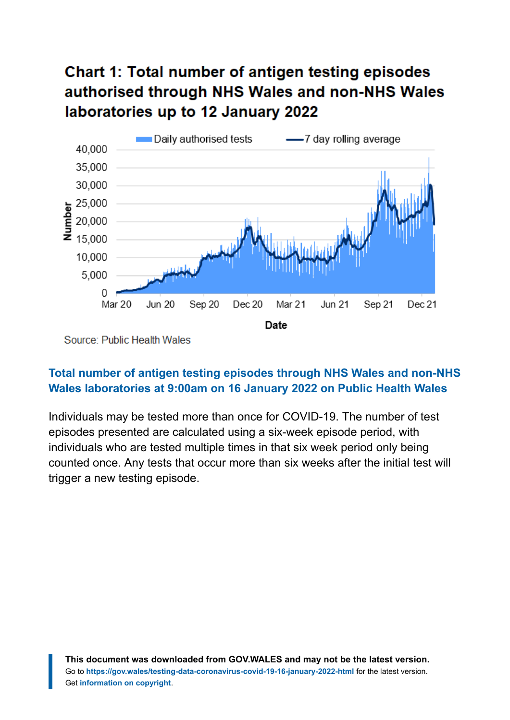### **Chart 1: Total number of antigen testing episodes** authorised through NHS Wales and non-NHS Wales laboratories up to 12 January 2022



Source: Public Health Wales

#### **[Total number of antigen testing episodes through NHS Wales and non-NHS](https://public.tableau.com/app/profile/public.health.wales.health.protection/viz/RapidCOVID-19virology-Public/Headlinesummary) [Wales laboratories at 9:00am on 16 January 2022 on Public Health Wales](https://public.tableau.com/app/profile/public.health.wales.health.protection/viz/RapidCOVID-19virology-Public/Headlinesummary)**

Individuals may be tested more than once for COVID-19. The number of test episodes presented are calculated using a six-week episode period, with individuals who are tested multiple times in that six week period only being counted once. Any tests that occur more than six weeks after the initial test will trigger a new testing episode.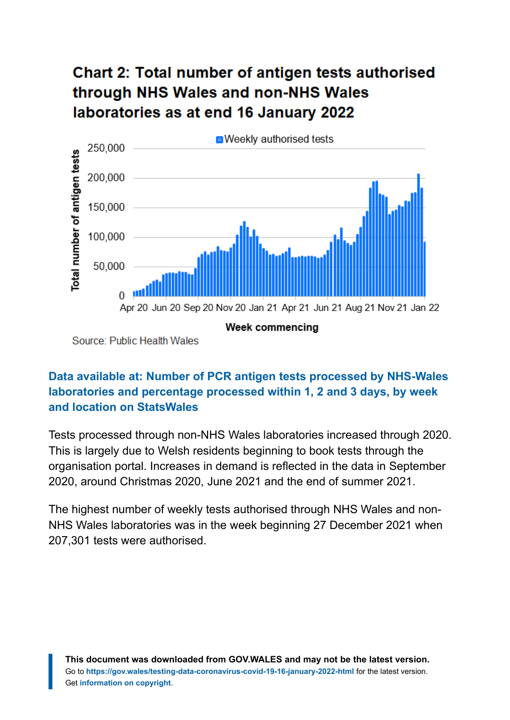## **Chart 2: Total number of antigen tests authorised** through NHS Wales and non-NHS Wales laboratories as at end 16 January 2022



#### **Data available at: [Number of PCR antigen tests processed by NHS-Wales](https://statswales.gov.wales/Catalogue/Health-and-Social-Care/coronavirus-covid-19/testing-data-for-coronavirus-covid-19/numberofpcrantigentestsprocessedbynhswaleslaboratoriesandpercentageprocessedwithin12and3days-by-week-location) [laboratories and percentage processed within 1, 2 and 3 days, by week](https://statswales.gov.wales/Catalogue/Health-and-Social-Care/coronavirus-covid-19/testing-data-for-coronavirus-covid-19/numberofpcrantigentestsprocessedbynhswaleslaboratoriesandpercentageprocessedwithin12and3days-by-week-location) [and location on StatsWales](https://statswales.gov.wales/Catalogue/Health-and-Social-Care/coronavirus-covid-19/testing-data-for-coronavirus-covid-19/numberofpcrantigentestsprocessedbynhswaleslaboratoriesandpercentageprocessedwithin12and3days-by-week-location)**

Tests processed through non-NHS Wales laboratories increased through 2020. This is largely due to Welsh residents beginning to book tests through the organisation portal. Increases in demand is reflected in the data in September 2020, around Christmas 2020, June 2021 and the end of summer 2021.

The highest number of weekly tests authorised through NHS Wales and non-NHS Wales laboratories was in the week beginning 27 December 2021 when 207,301 tests were authorised.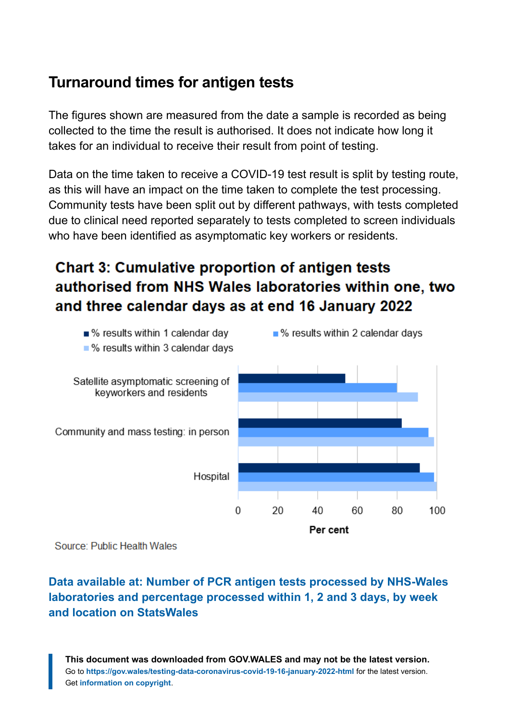### **Turnaround times for antigen tests**

The figures shown are measured from the date a sample is recorded as being collected to the time the result is authorised. It does not indicate how long it takes for an individual to receive their result from point of testing.

Data on the time taken to receive a COVID-19 test result is split by testing route, as this will have an impact on the time taken to complete the test processing. Community tests have been split out by different pathways, with tests completed due to clinical need reported separately to tests completed to screen individuals who have been identified as asymptomatic key workers or residents.

### **Chart 3: Cumulative proportion of antigen tests** authorised from NHS Wales laboratories within one, two and three calendar days as at end 16 January 2022



Source: Public Health Wales

#### **Data available at: [Number of PCR antigen tests processed by NHS-Wales](https://statswales.gov.wales/Catalogue/Health-and-Social-Care/coronavirus-covid-19/testing-data-for-coronavirus-covid-19/numberofpcrantigentestsprocessedbynhswaleslaboratoriesandpercentageprocessedwithin12and3days-by-week-location?_ga=2.190188907.1728574895.1642403638-1086771297.1619441781) [laboratories and percentage processed within 1, 2 and 3 days, by week](https://statswales.gov.wales/Catalogue/Health-and-Social-Care/coronavirus-covid-19/testing-data-for-coronavirus-covid-19/numberofpcrantigentestsprocessedbynhswaleslaboratoriesandpercentageprocessedwithin12and3days-by-week-location?_ga=2.190188907.1728574895.1642403638-1086771297.1619441781) [and location on StatsWales](https://statswales.gov.wales/Catalogue/Health-and-Social-Care/coronavirus-covid-19/testing-data-for-coronavirus-covid-19/numberofpcrantigentestsprocessedbynhswaleslaboratoriesandpercentageprocessedwithin12and3days-by-week-location?_ga=2.190188907.1728574895.1642403638-1086771297.1619441781)**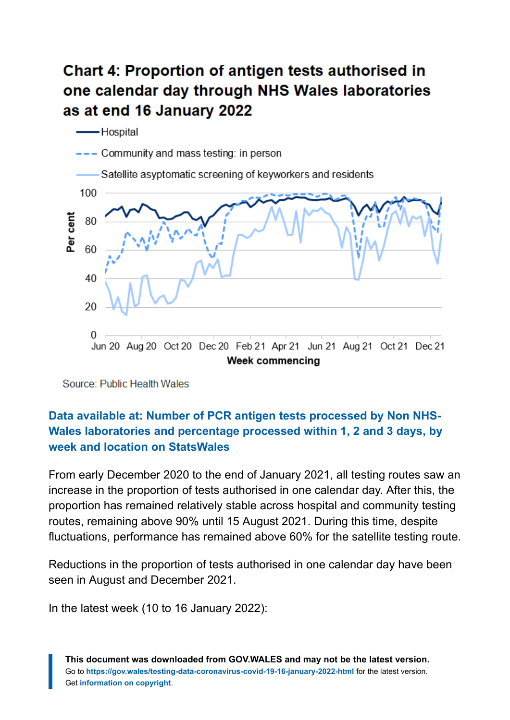### Chart 4: Proportion of antigen tests authorised in one calendar day through NHS Wales laboratories as at end 16 January 2022



Source: Public Health Wales

#### **Data available at: [Number of PCR antigen tests processed by Non NHS-](https://statswales.gov.wales/Catalogue/Health-and-Social-Care/coronavirus-covid-19/testing-data-for-coronavirus-covid-19/numberofpcrantigentestsprocessedbynonnhswaleslaboratoriesandpercentageprocessedwithin12and3days-by-week-location)[Wales laboratories and percentage processed within 1, 2 and 3 days, by](https://statswales.gov.wales/Catalogue/Health-and-Social-Care/coronavirus-covid-19/testing-data-for-coronavirus-covid-19/numberofpcrantigentestsprocessedbynonnhswaleslaboratoriesandpercentageprocessedwithin12and3days-by-week-location) [week and location on StatsWales](https://statswales.gov.wales/Catalogue/Health-and-Social-Care/coronavirus-covid-19/testing-data-for-coronavirus-covid-19/numberofpcrantigentestsprocessedbynonnhswaleslaboratoriesandpercentageprocessedwithin12and3days-by-week-location)**

From early December 2020 to the end of January 2021, all testing routes saw an increase in the proportion of tests authorised in one calendar day. After this, the proportion has remained relatively stable across hospital and community testing routes, remaining above 90% until 15 August 2021. During this time, despite fluctuations, performance has remained above 60% for the satellite testing route.

Reductions in the proportion of tests authorised in one calendar day have been seen in August and December 2021.

In the latest week (10 to 16 January 2022):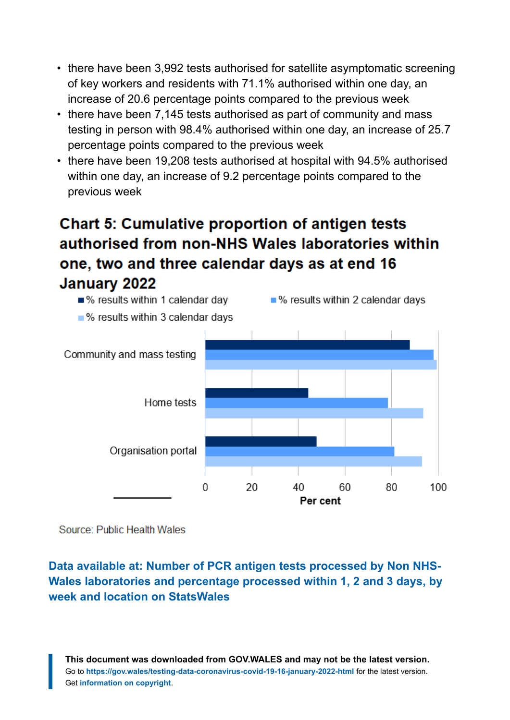- there have been 3,992 tests authorised for satellite asymptomatic screening of key workers and residents with 71.1% authorised within one day, an increase of 20.6 percentage points compared to the previous week
- there have been 7,145 tests authorised as part of community and mass testing in person with 98.4% authorised within one day, an increase of 25.7 percentage points compared to the previous week
- there have been 19,208 tests authorised at hospital with 94.5% authorised within one day, an increase of 9.2 percentage points compared to the previous week

### **Chart 5: Cumulative proportion of antigen tests** authorised from non-NHS Wales laboratories within one, two and three calendar days as at end 16 January 2022



Source: Public Health Wales

#### **Data available at: [Number of PCR antigen tests processed by Non NHS-](https://statswales.gov.wales/Catalogue/Health-and-Social-Care/coronavirus-covid-19/testing-data-for-coronavirus-covid-19/numberofpcrantigentestsprocessedbynonnhswaleslaboratoriesandpercentageprocessedwithin12and3days-by-week-location?_ga=2.249563334.1728574895.1642403638-1086771297.1619441781)[Wales laboratories and percentage processed within 1, 2 and 3 days, by](https://statswales.gov.wales/Catalogue/Health-and-Social-Care/coronavirus-covid-19/testing-data-for-coronavirus-covid-19/numberofpcrantigentestsprocessedbynonnhswaleslaboratoriesandpercentageprocessedwithin12and3days-by-week-location?_ga=2.249563334.1728574895.1642403638-1086771297.1619441781) [week and location on StatsWales](https://statswales.gov.wales/Catalogue/Health-and-Social-Care/coronavirus-covid-19/testing-data-for-coronavirus-covid-19/numberofpcrantigentestsprocessedbynonnhswaleslaboratoriesandpercentageprocessedwithin12and3days-by-week-location?_ga=2.249563334.1728574895.1642403638-1086771297.1619441781)**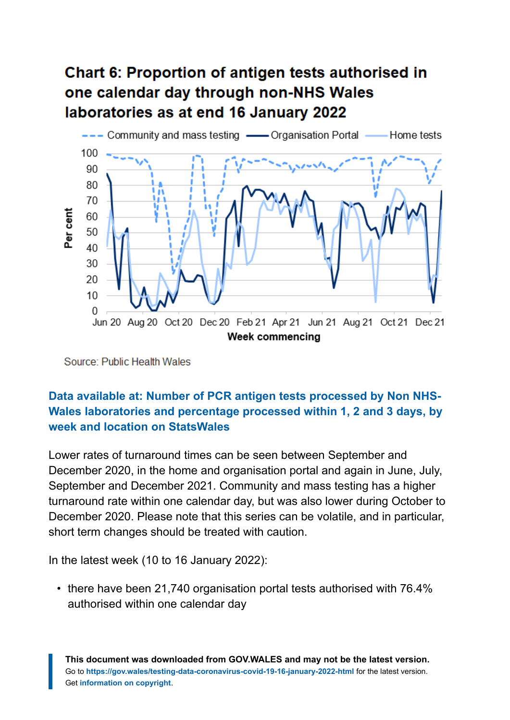### **Chart 6: Proportion of antigen tests authorised in** one calendar day through non-NHS Wales laboratories as at end 16 January 2022



Source: Public Health Wales

#### **[Data available at: Number of PCR antigen tests processed by Non NHS-](https://statswales.gov.wales/Catalogue/Health-and-Social-Care/coronavirus-covid-19/testing-data-for-coronavirus-covid-19/numberofpcrantigentestsprocessedbynonnhswaleslaboratoriesandpercentageprocessedwithin12and3days-by-week-location)[Wales laboratories and percentage processed within 1, 2 and 3 days, by](https://statswales.gov.wales/Catalogue/Health-and-Social-Care/coronavirus-covid-19/testing-data-for-coronavirus-covid-19/numberofpcrantigentestsprocessedbynonnhswaleslaboratoriesandpercentageprocessedwithin12and3days-by-week-location) [week and location on StatsWales](https://statswales.gov.wales/Catalogue/Health-and-Social-Care/coronavirus-covid-19/testing-data-for-coronavirus-covid-19/numberofpcrantigentestsprocessedbynonnhswaleslaboratoriesandpercentageprocessedwithin12and3days-by-week-location)**

Lower rates of turnaround times can be seen between September and December 2020, in the home and organisation portal and again in June, July, September and December 2021. Community and mass testing has a higher turnaround rate within one calendar day, but was also lower during October to December 2020. Please note that this series can be volatile, and in particular, short term changes should be treated with caution.

In the latest week (10 to 16 January 2022):

• there have been 21,740 organisation portal tests authorised with 76.4% authorised within one calendar day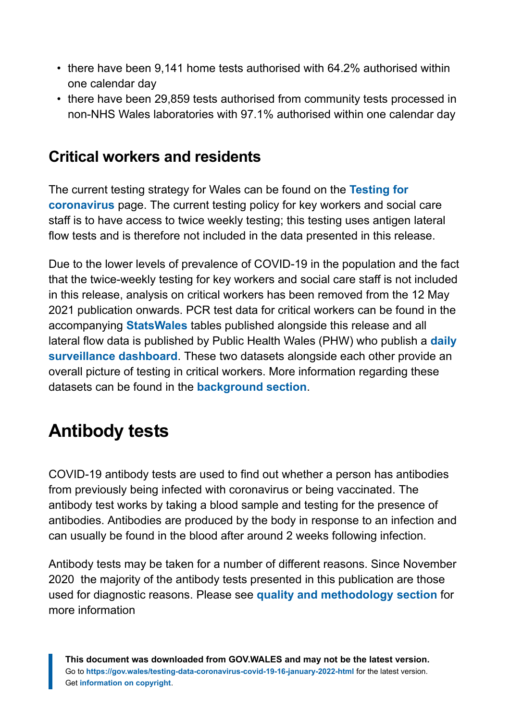- there have been 9,141 home tests authorised with 64.2% authorised within one calendar day
- there have been 29,859 tests authorised from community tests processed in non-NHS Wales laboratories with 97.1% authorised within one calendar day

### **Critical workers and residents**

The current testing strategy for Wales can be found on the **[Testing for](https://gov.wales/testing-coronavirus-weekly-updates) [coronavirus](https://gov.wales/testing-coronavirus-weekly-updates)** page. The current testing policy for key workers and social care staff is to have access to twice weekly testing; this testing uses antigen lateral flow tests and is therefore not included in the data presented in this release.

Due to the lower levels of prevalence of COVID-19 in the population and the fact that the twice-weekly testing for key workers and social care staff is not included in this release, analysis on critical workers has been removed from the 12 May 2021 publication onwards. PCR test data for critical workers can be found in the accompanying **[StatsWales](https://statswales.gov.wales/Catalogue/Health-and-Social-Care/coronavirus-covid-19/testing-data-for-coronavirus-covid-19)** tables published alongside this release and all lateral flow data is published by Public Health Wales (PHW) who publish a **[daily](https://public.tableau.com/profile/public.health.wales.health.protection#!/vizhome/RapidCOVID-19virology-Public/Headlinesummary) [surveillance dashboard](https://public.tableau.com/profile/public.health.wales.health.protection#!/vizhome/RapidCOVID-19virology-Public/Headlinesummary)**. These two datasets alongside each other provide an overall picture of testing in critical workers. More information regarding these datasets can be found in the **[background section](#page-11-0)**.

# <span id="page-10-0"></span>**Antibody tests**

COVID-19 antibody tests are used to find out whether a person has antibodies from previously being infected with coronavirus or being vaccinated. The antibody test works by taking a blood sample and testing for the presence of antibodies. Antibodies are produced by the body in response to an infection and can usually be found in the blood after around 2 weeks following infection.

Antibody tests may be taken for a number of different reasons. Since November 2020 the majority of the antibody tests presented in this publication are those used for diagnostic reasons. Please see **[quality and methodology section](#page-15-0)** for more information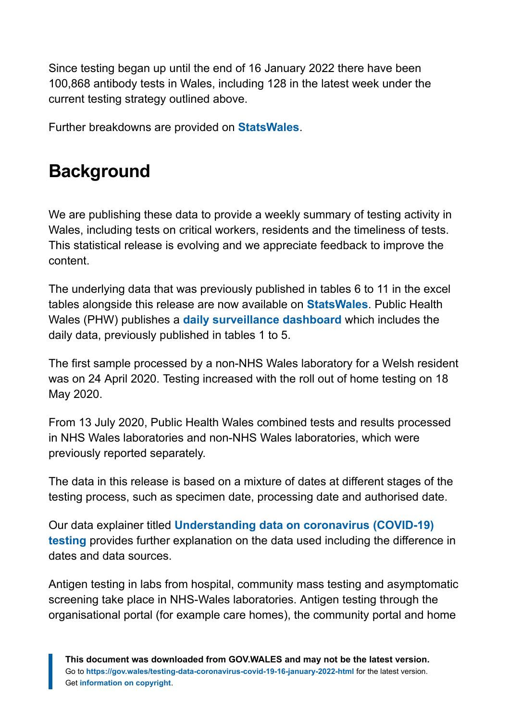Since testing began up until the end of 16 January 2022 there have been 100,868 antibody tests in Wales, including 128 in the latest week under the current testing strategy outlined above.

Further breakdowns are provided on **[StatsWales](https://statswales.gov.wales/Catalogue/Health-and-Social-Care/coronavirus-covid-19/testing-data-for-coronavirus-covid-19)**.

# <span id="page-11-0"></span>**Background**

We are publishing these data to provide a weekly summary of testing activity in Wales, including tests on critical workers, residents and the timeliness of tests. This statistical release is evolving and we appreciate feedback to improve the content.

The underlying data that was previously published in tables 6 to 11 in the excel tables alongside this release are now available on **[StatsWales](https://statswales.gov.wales/Catalogue/Health-and-Social-Care/coronavirus-covid-19/testing-data-for-coronavirus-covid-19)**. Public Health Wales (PHW) publishes a **[daily surveillance dashboard](https://public.tableau.com/profile/public.health.wales.health.protection#!/vizhome/RapidCOVID-19virology-Public/Headlinesummary)** which includes the daily data, previously published in tables 1 to 5.

The first sample processed by a non-NHS Wales laboratory for a Welsh resident was on 24 April 2020. Testing increased with the roll out of home testing on 18 May 2020.

From 13 July 2020, Public Health Wales combined tests and results processed in NHS Wales laboratories and non-NHS Wales laboratories, which were previously reported separately.

The data in this release is based on a mixture of dates at different stages of the testing process, such as specimen date, processing date and authorised date.

Our data explainer titled **[Understanding data on coronavirus \(COVID-19\)](https://gov.wales/understanding-data-coronavirus-covid-19-testing) [testing](https://gov.wales/understanding-data-coronavirus-covid-19-testing)** provides further explanation on the data used including the difference in dates and data sources.

Antigen testing in labs from hospital, community mass testing and asymptomatic screening take place in NHS-Wales laboratories. Antigen testing through the organisational portal (for example care homes), the community portal and home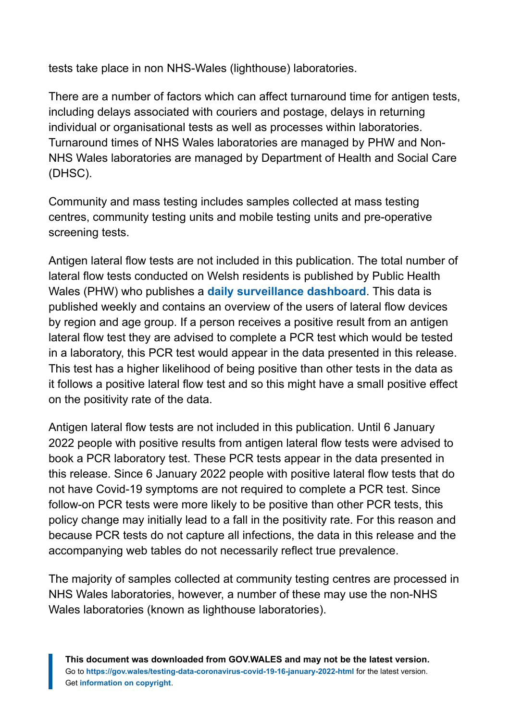tests take place in non NHS-Wales (lighthouse) laboratories.

There are a number of factors which can affect turnaround time for antigen tests, including delays associated with couriers and postage, delays in returning individual or organisational tests as well as processes within laboratories. Turnaround times of NHS Wales laboratories are managed by PHW and Non-NHS Wales laboratories are managed by Department of Health and Social Care (DHSC).

Community and mass testing includes samples collected at mass testing centres, community testing units and mobile testing units and pre-operative screening tests.

Antigen lateral flow tests are not included in this publication. The total number of lateral flow tests conducted on Welsh residents is published by Public Health Wales (PHW) who publishes a **[daily surveillance dashboard](https://public.tableau.com/profile/public.health.wales.health.protection#!/vizhome/RapidCOVID-19virology-Public/Headlinesummary)**. This data is published weekly and contains an overview of the users of lateral flow devices by region and age group. If a person receives a positive result from an antigen lateral flow test they are advised to complete a PCR test which would be tested in a laboratory, this PCR test would appear in the data presented in this release. This test has a higher likelihood of being positive than other tests in the data as it follows a positive lateral flow test and so this might have a small positive effect on the positivity rate of the data.

Antigen lateral flow tests are not included in this publication. Until 6 January 2022 people with positive results from antigen lateral flow tests were advised to book a PCR laboratory test. These PCR tests appear in the data presented in this release. Since 6 January 2022 people with positive lateral flow tests that do not have Covid-19 symptoms are not required to complete a PCR test. Since follow-on PCR tests were more likely to be positive than other PCR tests, this policy change may initially lead to a fall in the positivity rate. For this reason and because PCR tests do not capture all infections, the data in this release and the accompanying web tables do not necessarily reflect true prevalence.

The majority of samples collected at community testing centres are processed in NHS Wales laboratories, however, a number of these may use the non-NHS Wales laboratories (known as lighthouse laboratories).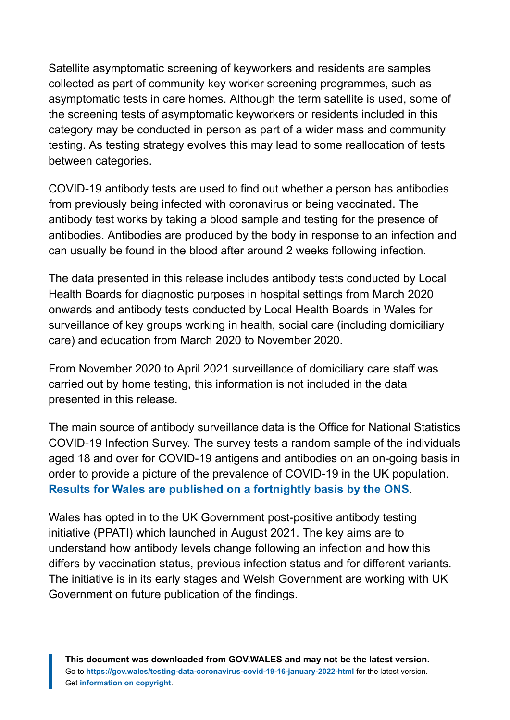Satellite asymptomatic screening of keyworkers and residents are samples collected as part of community key worker screening programmes, such as asymptomatic tests in care homes. Although the term satellite is used, some of the screening tests of asymptomatic keyworkers or residents included in this category may be conducted in person as part of a wider mass and community testing. As testing strategy evolves this may lead to some reallocation of tests between categories.

COVID-19 antibody tests are used to find out whether a person has antibodies from previously being infected with coronavirus or being vaccinated. The antibody test works by taking a blood sample and testing for the presence of antibodies. Antibodies are produced by the body in response to an infection and can usually be found in the blood after around 2 weeks following infection.

The data presented in this release includes antibody tests conducted by Local Health Boards for diagnostic purposes in hospital settings from March 2020 onwards and antibody tests conducted by Local Health Boards in Wales for surveillance of key groups working in health, social care (including domiciliary care) and education from March 2020 to November 2020.

From November 2020 to April 2021 surveillance of domiciliary care staff was carried out by home testing, this information is not included in the data presented in this release.

The main source of antibody surveillance data is the Office for National Statistics COVID-19 Infection Survey. The survey tests a random sample of the individuals aged 18 and over for COVID-19 antigens and antibodies on an on-going basis in order to provide a picture of the prevalence of COVID-19 in the UK population. **[Results for Wales are published on a fortnightly basis by the ONS](https://www.ons.gov.uk/peoplepopulationandcommunity/healthandsocialcare/conditionsanddiseases/bulletins/coronaviruscovid19infectionsurveyantibodyandvaccinationdatafortheuk/7july2021#coronavirus-covid-19-infection-survey-data)**.

Wales has opted in to the UK Government post-positive antibody testing initiative (PPATI) which launched in August 2021. The key aims are to understand how antibody levels change following an infection and how this differs by vaccination status, previous infection status and for different variants. The initiative is in its early stages and Welsh Government are working with UK Government on future publication of the findings.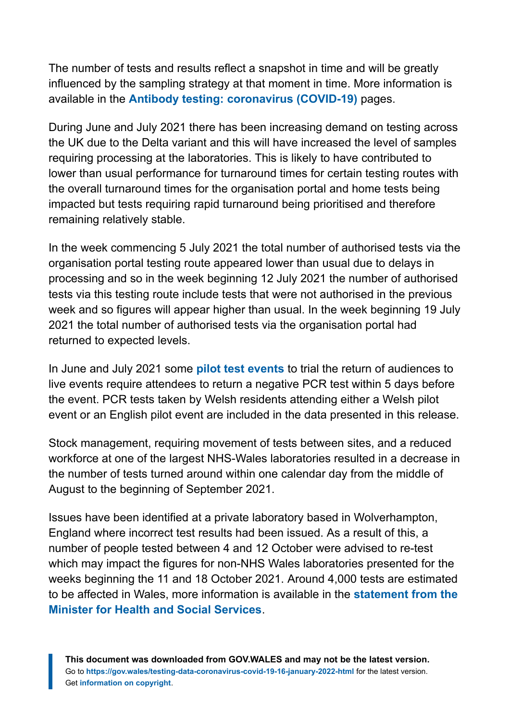The number of tests and results reflect a snapshot in time and will be greatly influenced by the sampling strategy at that moment in time. More information is available in the **[Antibody testing: coronavirus \(COVID-19\)](https://gov.wales/antibody-testing-coronavirus-covid-19)** pages.

During June and July 2021 there has been increasing demand on testing across the UK due to the Delta variant and this will have increased the level of samples requiring processing at the laboratories. This is likely to have contributed to lower than usual performance for turnaround times for certain testing routes with the overall turnaround times for the organisation portal and home tests being impacted but tests requiring rapid turnaround being prioritised and therefore remaining relatively stable.

In the week commencing 5 July 2021 the total number of authorised tests via the organisation portal testing route appeared lower than usual due to delays in processing and so in the week beginning 12 July 2021 the number of authorised tests via this testing route include tests that were not authorised in the previous week and so figures will appear higher than usual. In the week beginning 19 July 2021 the total number of authorised tests via the organisation portal had returned to expected levels.

In June and July 2021 some **[pilot test events](https://gov.wales/wales-pilot-test-events-get-underway)** to trial the return of audiences to live events require attendees to return a negative PCR test within 5 days before the event. PCR tests taken by Welsh residents attending either a Welsh pilot event or an English pilot event are included in the data presented in this release.

Stock management, requiring movement of tests between sites, and a reduced workforce at one of the largest NHS-Wales laboratories resulted in a decrease in the number of tests turned around within one calendar day from the middle of August to the beginning of September 2021.

Issues have been identified at a private laboratory based in Wolverhampton, England where incorrect test results had been issued. As a result of this, a number of people tested between 4 and 12 October were advised to re-test which may impact the figures for non-NHS Wales laboratories presented for the weeks beginning the 11 and 18 October 2021. Around 4,000 tests are estimated to be affected in Wales, more information is available in the **[statement from the](https://gov.wales/written-statement-has-issued-update-welsh-residents-impacted-incorrect-covid-19-test-results) [Minister for Health and Social Services](https://gov.wales/written-statement-has-issued-update-welsh-residents-impacted-incorrect-covid-19-test-results)**.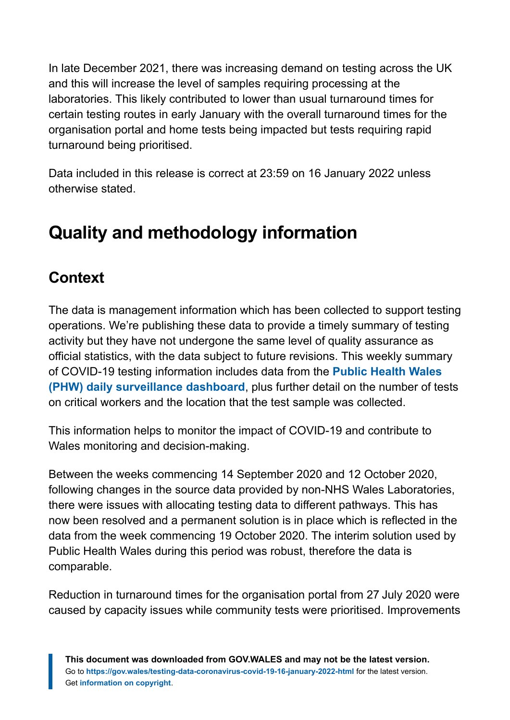In late December 2021, there was increasing demand on testing across the UK and this will increase the level of samples requiring processing at the laboratories. This likely contributed to lower than usual turnaround times for certain testing routes in early January with the overall turnaround times for the organisation portal and home tests being impacted but tests requiring rapid turnaround being prioritised.

Data included in this release is correct at 23:59 on 16 January 2022 unless otherwise stated.

# <span id="page-15-0"></span>**Quality and methodology information**

### **Context**

The data is management information which has been collected to support testing operations. We're publishing these data to provide a timely summary of testing activity but they have not undergone the same level of quality assurance as official statistics, with the data subject to future revisions. This weekly summary of COVID-19 testing information includes data from the **[Public Health Wales](https://public.tableau.com/profile/public.health.wales.health.protection#!/vizhome/RapidCOVID-19virology-Public/Headlinesummary) [\(PHW\) daily surveillance dashboard](https://public.tableau.com/profile/public.health.wales.health.protection#!/vizhome/RapidCOVID-19virology-Public/Headlinesummary)**, plus further detail on the number of tests on critical workers and the location that the test sample was collected.

This information helps to monitor the impact of COVID-19 and contribute to Wales monitoring and decision-making.

Between the weeks commencing 14 September 2020 and 12 October 2020, following changes in the source data provided by non-NHS Wales Laboratories, there were issues with allocating testing data to different pathways. This has now been resolved and a permanent solution is in place which is reflected in the data from the week commencing 19 October 2020. The interim solution used by Public Health Wales during this period was robust, therefore the data is comparable.

Reduction in turnaround times for the organisation portal from 27 July 2020 were caused by capacity issues while community tests were prioritised. Improvements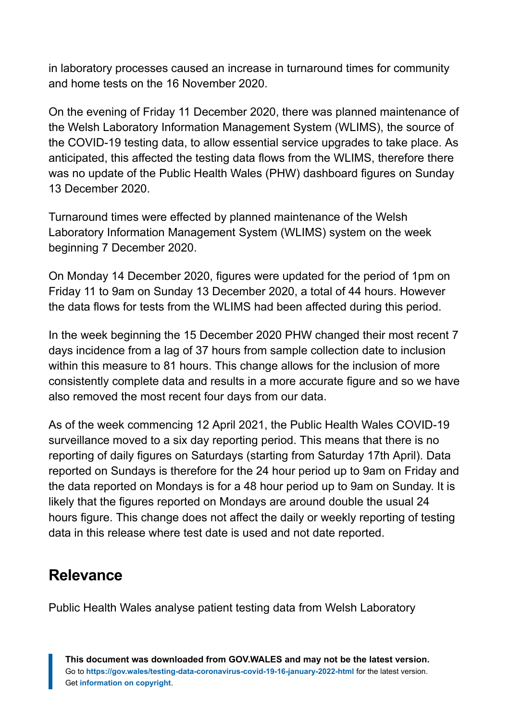in laboratory processes caused an increase in turnaround times for community and home tests on the 16 November 2020.

On the evening of Friday 11 December 2020, there was planned maintenance of the Welsh Laboratory Information Management System (WLIMS), the source of the COVID-19 testing data, to allow essential service upgrades to take place. As anticipated, this affected the testing data flows from the WLIMS, therefore there was no update of the Public Health Wales (PHW) dashboard figures on Sunday 13 December 2020.

Turnaround times were effected by planned maintenance of the Welsh Laboratory Information Management System (WLIMS) system on the week beginning 7 December 2020.

On Monday 14 December 2020, figures were updated for the period of 1pm on Friday 11 to 9am on Sunday 13 December 2020, a total of 44 hours. However the data flows for tests from the WLIMS had been affected during this period.

In the week beginning the 15 December 2020 PHW changed their most recent 7 days incidence from a lag of 37 hours from sample collection date to inclusion within this measure to 81 hours. This change allows for the inclusion of more consistently complete data and results in a more accurate figure and so we have also removed the most recent four days from our data.

As of the week commencing 12 April 2021, the Public Health Wales COVID-19 surveillance moved to a six day reporting period. This means that there is no reporting of daily figures on Saturdays (starting from Saturday 17th April). Data reported on Sundays is therefore for the 24 hour period up to 9am on Friday and the data reported on Mondays is for a 48 hour period up to 9am on Sunday. It is likely that the figures reported on Mondays are around double the usual 24 hours figure. This change does not affect the daily or weekly reporting of testing data in this release where test date is used and not date reported.

### **Relevance**

Public Health Wales analyse patient testing data from Welsh Laboratory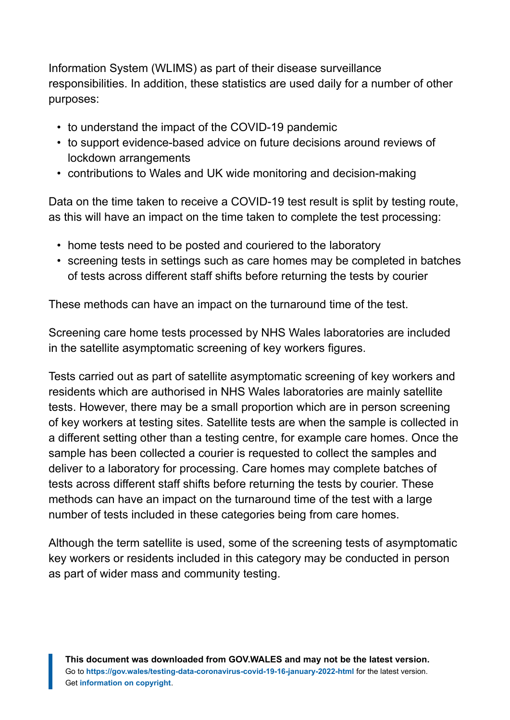Information System (WLIMS) as part of their disease surveillance responsibilities. In addition, these statistics are used daily for a number of other purposes:

- to understand the impact of the COVID-19 pandemic
- to support evidence-based advice on future decisions around reviews of lockdown arrangements
- contributions to Wales and UK wide monitoring and decision-making

Data on the time taken to receive a COVID-19 test result is split by testing route, as this will have an impact on the time taken to complete the test processing:

- home tests need to be posted and couriered to the laboratory
- screening tests in settings such as care homes may be completed in batches of tests across different staff shifts before returning the tests by courier

These methods can have an impact on the turnaround time of the test.

Screening care home tests processed by NHS Wales laboratories are included in the satellite asymptomatic screening of key workers figures.

Tests carried out as part of satellite asymptomatic screening of key workers and residents which are authorised in NHS Wales laboratories are mainly satellite tests. However, there may be a small proportion which are in person screening of key workers at testing sites. Satellite tests are when the sample is collected in a different setting other than a testing centre, for example care homes. Once the sample has been collected a courier is requested to collect the samples and deliver to a laboratory for processing. Care homes may complete batches of tests across different staff shifts before returning the tests by courier. These methods can have an impact on the turnaround time of the test with a large number of tests included in these categories being from care homes.

Although the term satellite is used, some of the screening tests of asymptomatic key workers or residents included in this category may be conducted in person as part of wider mass and community testing.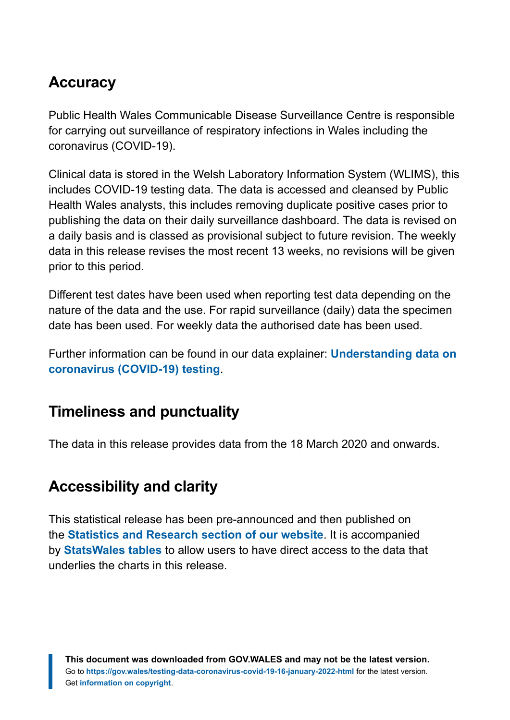### **Accuracy**

Public Health Wales Communicable Disease Surveillance Centre is responsible for carrying out surveillance of respiratory infections in Wales including the coronavirus (COVID-19).

Clinical data is stored in the Welsh Laboratory Information System (WLIMS), this includes COVID-19 testing data. The data is accessed and cleansed by Public Health Wales analysts, this includes removing duplicate positive cases prior to publishing the data on their daily surveillance dashboard. The data is revised on a daily basis and is classed as provisional subject to future revision. The weekly data in this release revises the most recent 13 weeks, no revisions will be given prior to this period.

Different test dates have been used when reporting test data depending on the nature of the data and the use. For rapid surveillance (daily) data the specimen date has been used. For weekly data the authorised date has been used.

Further information can be found in our data explainer: **[Understanding data on](https://gov.wales/understanding-data-coronavirus-covid-19-testing) [coronavirus \(COVID-19\) testing](https://gov.wales/understanding-data-coronavirus-covid-19-testing)**.

### **Timeliness and punctuality**

The data in this release provides data from the 18 March 2020 and onwards.

### **Accessibility and clarity**

This statistical release has been pre-announced and then published on the **[Statistics and Research section of our website](https://gov.wales/statistics-and-research)**. It is accompanied by **[StatsWales tables](https://statswales.gov.wales/)** to allow users to have direct access to the data that underlies the charts in this release.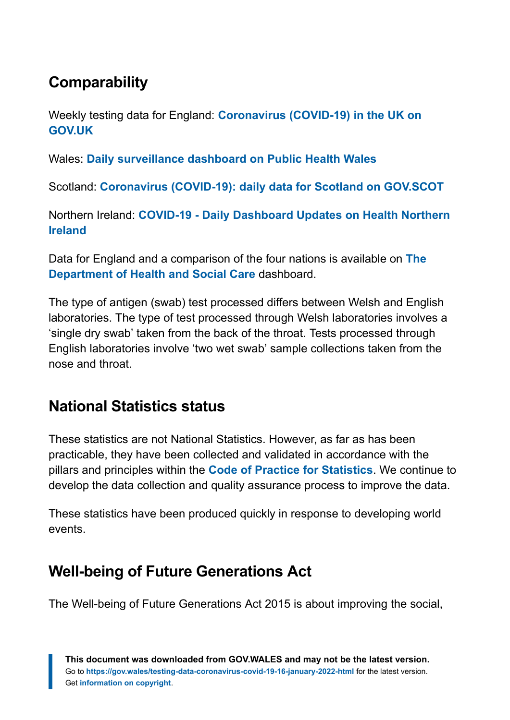### **Comparability**

Weekly testing data for England: **[Coronavirus \(COVID-19\) in the UK on](https://coronavirus.data.gov.uk/) [GOV.UK](https://coronavirus.data.gov.uk/)**

Wales: **[Daily surveillance dashboard on Public Health Wales](https://public.tableau.com/profile/public.health.wales.health.protection#!/vizhome/RapidCOVID-19virology-Public/Headlinesummary)**

Scotland: **[Coronavirus \(COVID-19\): daily data for Scotland on GOV.SCOT](https://www.gov.scot/publications/coronavirus-covid-19-daily-data-for-scotland/)**

Northern Ireland: **[COVID-19 - Daily Dashboard Updates on Health Northern](https://www.health-ni.gov.uk/articles/covid-19-daily-dashboard-updates) [Ireland](https://www.health-ni.gov.uk/articles/covid-19-daily-dashboard-updates)**

Data for England and a comparison of the four nations is available on **[The](https://coronavirus.data.gov.uk/) [Department of Health and Social Care](https://coronavirus.data.gov.uk/)** dashboard.

The type of antigen (swab) test processed differs between Welsh and English laboratories. The type of test processed through Welsh laboratories involves a 'single dry swab' taken from the back of the throat. Tests processed through English laboratories involve 'two wet swab' sample collections taken from the nose and throat.

### **National Statistics status**

These statistics are not National Statistics. However, as far as has been practicable, they have been collected and validated in accordance with the pillars and principles within the **[Code of Practice for Statistics](https://code.statisticsauthority.gov.uk/)**. We continue to develop the data collection and quality assurance process to improve the data.

These statistics have been produced quickly in response to developing world events.

### **Well-being of Future Generations Act**

The Well-being of Future Generations Act 2015 is about improving the social,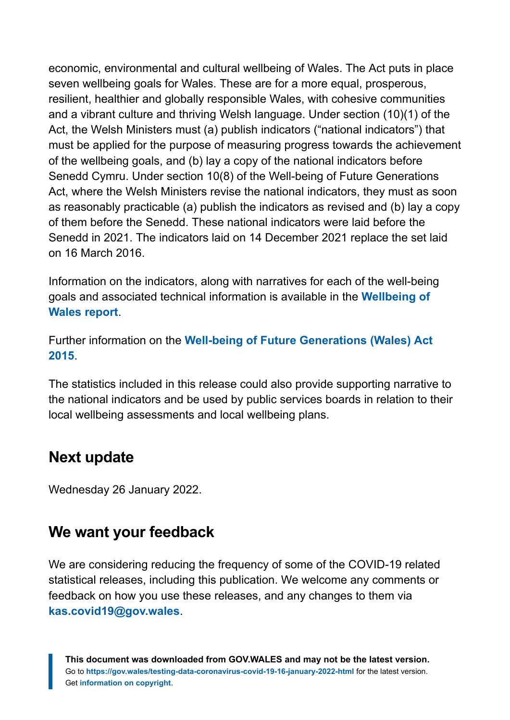economic, environmental and cultural wellbeing of Wales. The Act puts in place seven wellbeing goals for Wales. These are for a more equal, prosperous, resilient, healthier and globally responsible Wales, with cohesive communities and a vibrant culture and thriving Welsh language. Under section (10)(1) of the Act, the Welsh Ministers must (a) publish indicators ("national indicators") that must be applied for the purpose of measuring progress towards the achievement of the wellbeing goals, and (b) lay a copy of the national indicators before Senedd Cymru. Under section 10(8) of the Well-being of Future Generations Act, where the Welsh Ministers revise the national indicators, they must as soon as reasonably practicable (a) publish the indicators as revised and (b) lay a copy of them before the Senedd. These national indicators were laid before the Senedd in 2021. The indicators laid on 14 December 2021 replace the set laid on 16 March 2016.

Information on the indicators, along with narratives for each of the well-being goals and associated technical information is available in the **[Wellbeing of](https://gov.wales/wellbeing-wales) [Wales report](https://gov.wales/wellbeing-wales)**.

Further information on the **[Well-being of Future Generations \(Wales\) Act](https://gov.wales/well-being-future-generations-wales-act-2015-guidance) [2015](https://gov.wales/well-being-future-generations-wales-act-2015-guidance)**.

The statistics included in this release could also provide supporting narrative to the national indicators and be used by public services boards in relation to their local wellbeing assessments and local wellbeing plans.

### **Next update**

Wednesday 26 January 2022.

### **We want your feedback**

We are considering reducing the frequency of some of the COVID-19 related statistical releases, including this publication. We welcome any comments or feedback on how you use these releases, and any changes to them via **[kas.covid19@gov.wales](mailto:kas.covid19@gov.wales)**.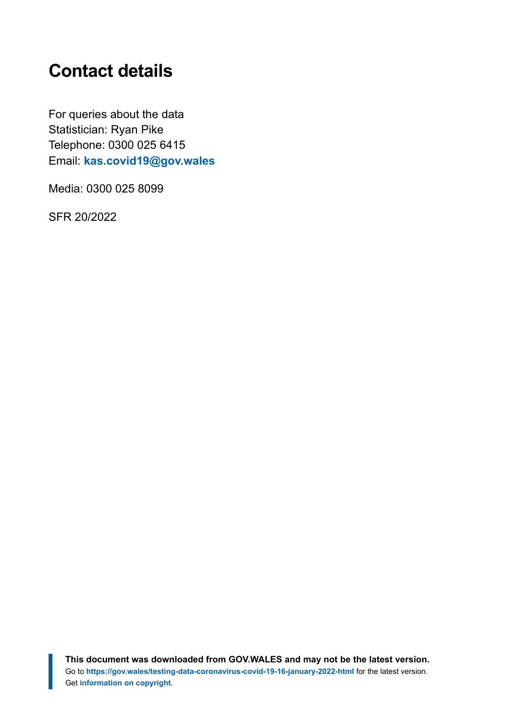# <span id="page-21-0"></span>**Contact details**

For queries about the data Statistician: Ryan Pike Telephone: 0300 025 6415 Email: **[kas.covid19@gov.wales](mailto:KAS.COVID19@gov.wales)**

Media: 0300 025 8099

SFR 20/2022